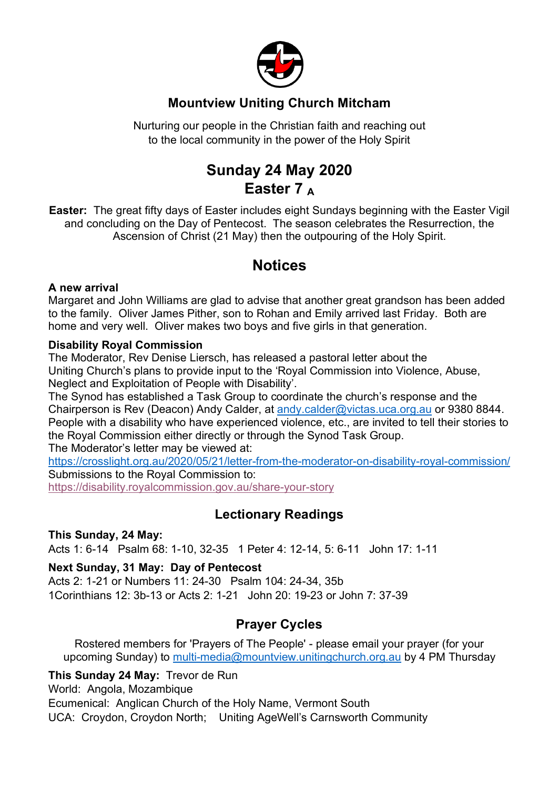

## **Mountview Uniting Church Mitcham**

Nurturing our people in the Christian faith and reaching out to the local community in the power of the Holy Spirit

# **Sunday 24 May 2020 Easter 7 <sup>A</sup>**

**Easter:** The great fifty days of Easter includes eight Sundays beginning with the Easter Vigil and concluding on the Day of Pentecost. The season celebrates the Resurrection, the Ascension of Christ (21 May) then the outpouring of the Holy Spirit.

## **Notices**

#### **A new arrival**

Margaret and John Williams are glad to advise that another great grandson has been added to the family. Oliver James Pither, son to Rohan and Emily arrived last Friday. Both are home and very well. Oliver makes two boys and five girls in that generation.

#### **Disability Royal Commission**

The Moderator, Rev Denise Liersch, has released a pastoral letter about the Uniting Church's plans to provide input to the 'Royal Commission into Violence, Abuse, Neglect and Exploitation of People with Disability'.

The Synod has established a Task Group to coordinate the church's response and the Chairperson is Rev (Deacon) Andy Calder, at andy.calder@victas.uca.org.au or 9380 8844. People with a disability who have experienced violence, etc., are invited to tell their stories to the Royal Commission either directly or through the Synod Task Group.

The Moderator's letter may be viewed at:

https://crosslight.org.au/2020/05/21/letter-from-the-moderator-on-disability-royal-commission/ Submissions to the Royal Commission to:

https://disability.royalcommission.gov.au/share-your-story

## **Lectionary Readings**

#### **This Sunday, 24 May:**

Acts 1: 6-14 Psalm 68: 1-10, 32-35 1 Peter 4: 12-14, 5: 6-11 John 17: 1-11

#### **Next Sunday, 31 May: Day of Pentecost**

Acts 2: 1-21 or Numbers 11: 24-30 Psalm 104: 24-34, 35b 1Corinthians 12: 3b-13 or Acts 2: 1-21 John 20: 19-23 or John 7: 37-39

## **Prayer Cycles**

Rostered members for 'Prayers of The People' - please email your prayer (for your upcoming Sunday) to multi-media@mountview.unitingchurch.org.au by 4 PM Thursday

**This Sunday 24 May:** Trevor de Run

World: Angola, Mozambique

Ecumenical: Anglican Church of the Holy Name, Vermont South

UCA: Croydon, Croydon North; Uniting AgeWell's Carnsworth Community